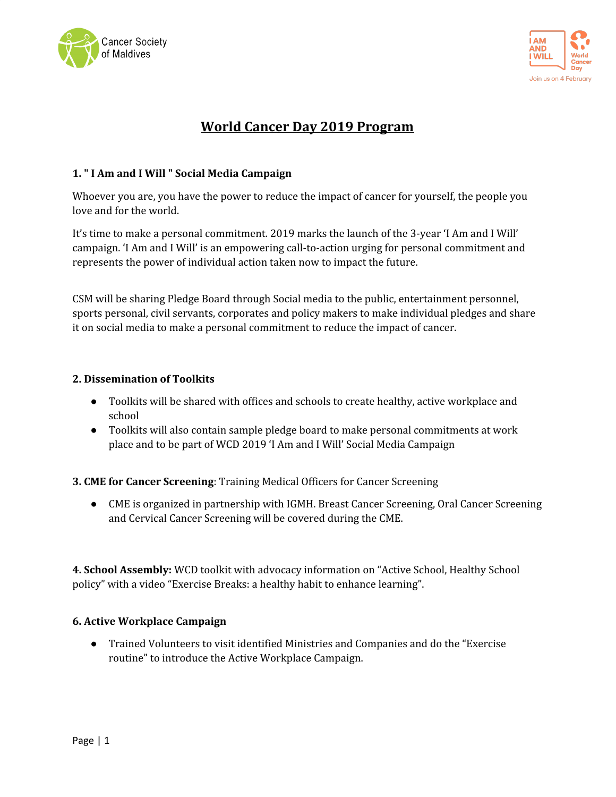



# **World Cancer Day 2019 Program**

#### **1. " I Am and I Will " Social Media Campaign**

Whoever you are, you have the power to reduce the impact of cancer for yourself, the people you love and for the world.

It's time to make a personal commitment. 2019 marks the launch of the 3-year 'I Am and I Will' campaign. 'I Am and I Will' is an empowering call-to-action urging for personal commitment and represents the power of individual action taken now to impact the future.

CSM will be sharing Pledge Board through Social media to the public, entertainment personnel, sports personal, civil servants, corporates and policy makers to make individual pledges and share it on social media to make a personal commitment to reduce the impact of cancer.

#### **2. Dissemination of Toolkits**

- Toolkits will be shared with offices and schools to create healthy, active workplace and school
- Toolkits will also contain sample pledge board to make personal commitments at work place and to be part of WCD 2019 'I Am and I Will' Social Media Campaign

**3. CME for Cancer Screening**: Training Medical Officers for Cancer Screening

● CME is organized in partnership with IGMH. Breast Cancer Screening, Oral Cancer Screening and Cervical Cancer Screening will be covered during the CME.

**4. School Assembly:** WCD toolkit with advocacy information on "Active School, Healthy School policy" with a video "Exercise Breaks: a healthy habit to enhance learning".

#### **6. Active Workplace Campaign**

● Trained Volunteers to visit identified Ministries and Companies and do the "Exercise routine" to introduce the Active Workplace Campaign.